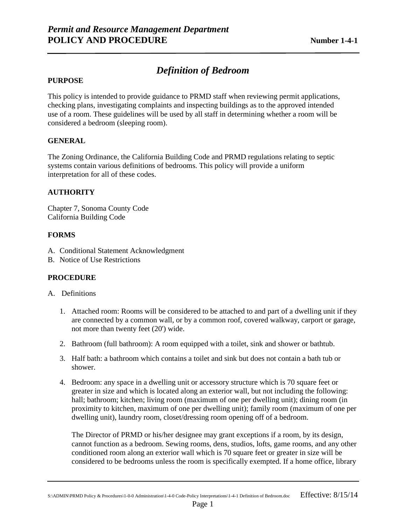# *Definition of Bedroom*

## **PURPOSE**

This policy is intended to provide guidance to PRMD staff when reviewing permit applications, checking plans, investigating complaints and inspecting buildings as to the approved intended use of a room. These guidelines will be used by all staff in determining whether a room will be considered a bedroom (sleeping room).

#### **GENERAL**

The Zoning Ordinance, the California Building Code and PRMD regulations relating to septic systems contain various definitions of bedrooms. This policy will provide a uniform interpretation for all of these codes.

## **AUTHORITY**

Chapter 7, Sonoma County Code California Building Code

## **FORMS**

- A. Conditional Statement Acknowledgment
- B. Notice of Use Restrictions

## **PROCEDURE**

#### A. Definitions

- 1. Attached room: Rooms will be considered to be attached to and part of a dwelling unit if they are connected by a common wall, or by a common roof, covered walkway, carport or garage, not more than twenty feet (20') wide.
- 2. Bathroom (full bathroom): A room equipped with a toilet, sink and shower or bathtub.
- 3. Half bath: a bathroom which contains a toilet and sink but does not contain a bath tub or shower.
- 4. Bedroom: any space in a dwelling unit or accessory structure which is 70 square feet or greater in size and which is located along an exterior wall, but not including the following: hall; bathroom; kitchen; living room (maximum of one per dwelling unit); dining room (in proximity to kitchen, maximum of one per dwelling unit); family room (maximum of one per dwelling unit), laundry room, closet/dressing room opening off of a bedroom.

The Director of PRMD or his/her designee may grant exceptions if a room, by its design, cannot function as a bedroom. Sewing rooms, dens, studios, lofts, game rooms, and any other conditioned room along an exterior wall which is 70 square feet or greater in size will be considered to be bedrooms unless the room is specifically exempted. If a home office, library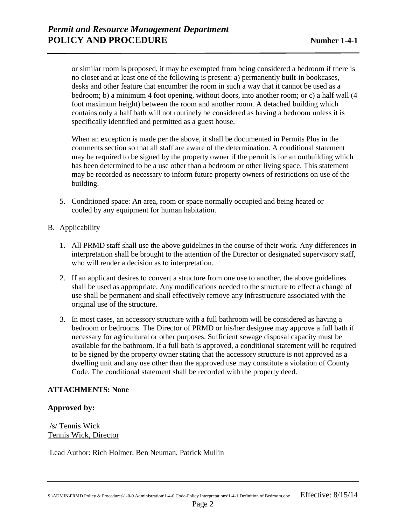or similar room is proposed, it may be exempted from being considered a bedroom if there is no closet and at least one of the following is present: a) permanently built-in bookcases, desks and other feature that encumber the room in such a way that it cannot be used as a bedroom; b) a minimum 4 foot opening, without doors, into another room; or c) a half wall (4 foot maximum height) between the room and another room. A detached building which contains only a half bath will not routinely be considered as having a bedroom unless it is specifically identified and permitted as a guest house.

When an exception is made per the above, it shall be documented in Permits Plus in the comments section so that all staff are aware of the determination. A conditional statement may be required to be signed by the property owner if the permit is for an outbuilding which has been determined to be a use other than a bedroom or other living space. This statement may be recorded as necessary to inform future property owners of restrictions on use of the building.

- 5. Conditioned space: An area, room or space normally occupied and being heated or cooled by any equipment for human habitation.
- B. Applicability
	- 1. All PRMD staff shall use the above guidelines in the course of their work. Any differences in interpretation shall be brought to the attention of the Director or designated supervisory staff, who will render a decision as to interpretation.
	- 2. If an applicant desires to convert a structure from one use to another, the above guidelines shall be used as appropriate. Any modifications needed to the structure to effect a change of use shall be permanent and shall effectively remove any infrastructure associated with the original use of the structure.
	- 3. In most cases, an accessory structure with a full bathroom will be considered as having a bedroom or bedrooms. The Director of PRMD or his/her designee may approve a full bath if necessary for agricultural or other purposes. Sufficient sewage disposal capacity must be available for the bathroom. If a full bath is approved, a conditional statement will be required to be signed by the property owner stating that the accessory structure is not approved as a dwelling unit and any use other than the approved use may constitute a violation of County Code. The conditional statement shall be recorded with the property deed.

# **ATTACHMENTS: None**

## **Approved by:**

/s/ Tennis Wick Tennis Wick, Director

Lead Author: Rich Holmer, Ben Neuman, Patrick Mullin